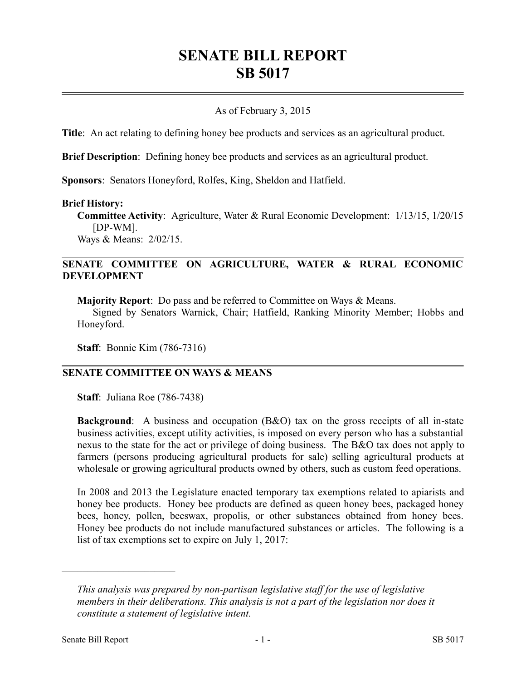# **SENATE BILL REPORT SB 5017**

#### As of February 3, 2015

**Title**: An act relating to defining honey bee products and services as an agricultural product.

**Brief Description**: Defining honey bee products and services as an agricultural product.

**Sponsors**: Senators Honeyford, Rolfes, King, Sheldon and Hatfield.

#### **Brief History:**

**Committee Activity**: Agriculture, Water & Rural Economic Development: 1/13/15, 1/20/15 [DP-WM].

Ways & Means: 2/02/15.

#### **SENATE COMMITTEE ON AGRICULTURE, WATER & RURAL ECONOMIC DEVELOPMENT**

**Majority Report**: Do pass and be referred to Committee on Ways & Means.

Signed by Senators Warnick, Chair; Hatfield, Ranking Minority Member; Hobbs and Honeyford.

**Staff**: Bonnie Kim (786-7316)

#### **SENATE COMMITTEE ON WAYS & MEANS**

**Staff**: Juliana Roe (786-7438)

**Background:** A business and occupation (B&O) tax on the gross receipts of all in-state business activities, except utility activities, is imposed on every person who has a substantial nexus to the state for the act or privilege of doing business. The B&O tax does not apply to farmers (persons producing agricultural products for sale) selling agricultural products at wholesale or growing agricultural products owned by others, such as custom feed operations.

In 2008 and 2013 the Legislature enacted temporary tax exemptions related to apiarists and honey bee products. Honey bee products are defined as queen honey bees, packaged honey bees, honey, pollen, beeswax, propolis, or other substances obtained from honey bees. Honey bee products do not include manufactured substances or articles. The following is a list of tax exemptions set to expire on July 1, 2017:

––––––––––––––––––––––

*This analysis was prepared by non-partisan legislative staff for the use of legislative members in their deliberations. This analysis is not a part of the legislation nor does it constitute a statement of legislative intent.*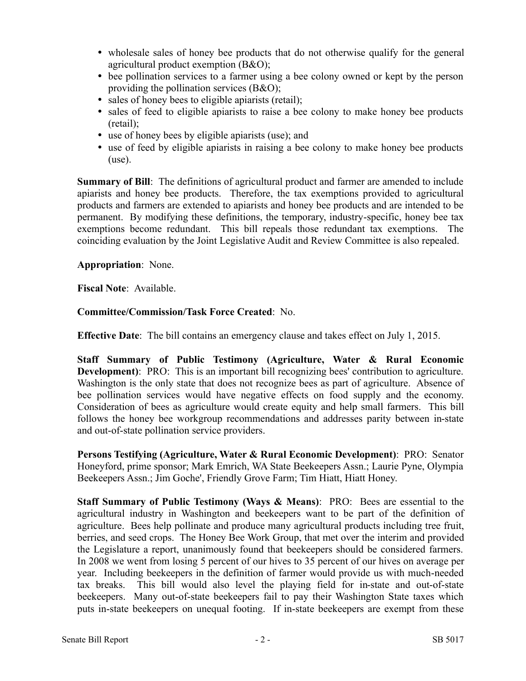- wholesale sales of honey bee products that do not otherwise qualify for the general agricultural product exemption (B&O);
- bee pollination services to a farmer using a bee colony owned or kept by the person providing the pollination services (B&O);
- sales of honey bees to eligible apiarists (retail);
- sales of feed to eligible apiarists to raise a bee colony to make honey bee products (retail);
- use of honey bees by eligible apiarists (use); and
- use of feed by eligible apiarists in raising a bee colony to make honey bee products (use).

**Summary of Bill**: The definitions of agricultural product and farmer are amended to include apiarists and honey bee products. Therefore, the tax exemptions provided to agricultural products and farmers are extended to apiarists and honey bee products and are intended to be permanent. By modifying these definitions, the temporary, industry-specific, honey bee tax exemptions become redundant. This bill repeals those redundant tax exemptions. The coinciding evaluation by the Joint Legislative Audit and Review Committee is also repealed.

## **Appropriation**: None.

**Fiscal Note**: Available.

## **Committee/Commission/Task Force Created**: No.

**Effective Date**: The bill contains an emergency clause and takes effect on July 1, 2015.

**Staff Summary of Public Testimony (Agriculture, Water & Rural Economic Development**): PRO: This is an important bill recognizing bees' contribution to agriculture. Washington is the only state that does not recognize bees as part of agriculture. Absence of bee pollination services would have negative effects on food supply and the economy. Consideration of bees as agriculture would create equity and help small farmers. This bill follows the honey bee workgroup recommendations and addresses parity between in-state and out-of-state pollination service providers.

**Persons Testifying (Agriculture, Water & Rural Economic Development)**: PRO: Senator Honeyford, prime sponsor; Mark Emrich, WA State Beekeepers Assn.; Laurie Pyne, Olympia Beekeepers Assn.; Jim Goche', Friendly Grove Farm; Tim Hiatt, Hiatt Honey.

**Staff Summary of Public Testimony (Ways & Means)**: PRO: Bees are essential to the agricultural industry in Washington and beekeepers want to be part of the definition of agriculture. Bees help pollinate and produce many agricultural products including tree fruit, berries, and seed crops. The Honey Bee Work Group, that met over the interim and provided the Legislature a report, unanimously found that beekeepers should be considered farmers. In 2008 we went from losing 5 percent of our hives to 35 percent of our hives on average per year. Including beekeepers in the definition of farmer would provide us with much-needed tax breaks. This bill would also level the playing field for in-state and out-of-state beekeepers. Many out-of-state beekeepers fail to pay their Washington State taxes which puts in-state beekeepers on unequal footing. If in-state beekeepers are exempt from these